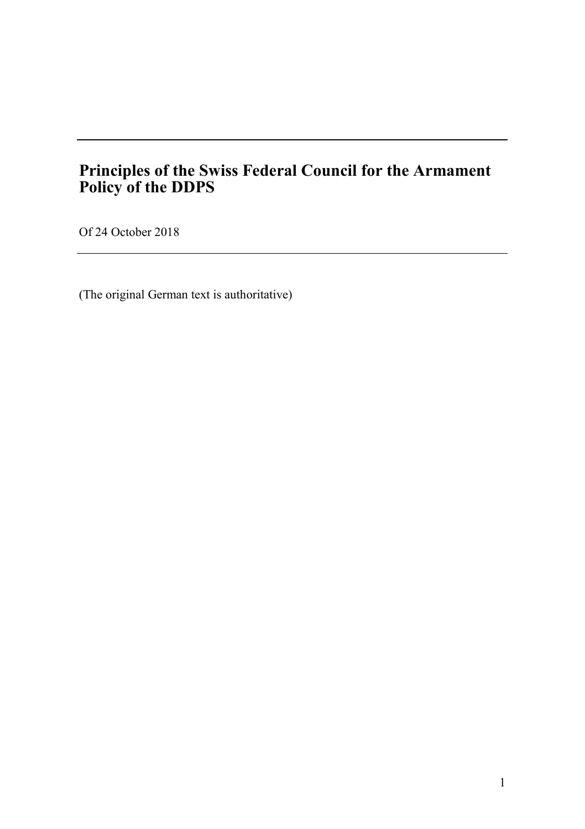# **Principles of the Swiss Federal Council for the Armament Policy of the DDPS**

Of 24 October 2018

(The original German text is authoritative)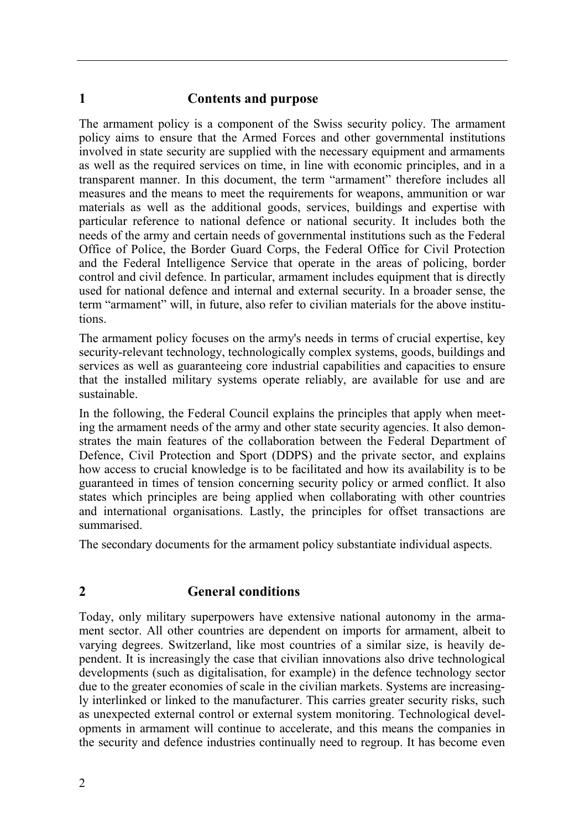#### **1 Contents and purpose**

The armament policy is a component of the Swiss security policy. The armament policy aims to ensure that the Armed Forces and other governmental institutions involved in state security are supplied with the necessary equipment and armaments as well as the required services on time, in line with economic principles, and in a transparent manner. In this document, the term "armament" therefore includes all measures and the means to meet the requirements for weapons, ammunition or war materials as well as the additional goods, services, buildings and expertise with particular reference to national defence or national security. It includes both the needs of the army and certain needs of governmental institutions such as the Federal Office of Police, the Border Guard Corps, the Federal Office for Civil Protection and the Federal Intelligence Service that operate in the areas of policing, border control and civil defence. In particular, armament includes equipment that is directly used for national defence and internal and external security. In a broader sense, the term "armament" will, in future, also refer to civilian materials for the above institutions.

The armament policy focuses on the army's needs in terms of crucial expertise, key security-relevant technology, technologically complex systems, goods, buildings and services as well as guaranteeing core industrial capabilities and capacities to ensure that the installed military systems operate reliably, are available for use and are sustainable.

In the following, the Federal Council explains the principles that apply when meeting the armament needs of the army and other state security agencies. It also demonstrates the main features of the collaboration between the Federal Department of Defence, Civil Protection and Sport (DDPS) and the private sector, and explains how access to crucial knowledge is to be facilitated and how its availability is to be guaranteed in times of tension concerning security policy or armed conflict. It also states which principles are being applied when collaborating with other countries and international organisations. Lastly, the principles for offset transactions are summarised.

The secondary documents for the armament policy substantiate individual aspects.

## **2 General conditions**

Today, only military superpowers have extensive national autonomy in the armament sector. All other countries are dependent on imports for armament, albeit to varying degrees. Switzerland, like most countries of a similar size, is heavily dependent. It is increasingly the case that civilian innovations also drive technological developments (such as digitalisation, for example) in the defence technology sector due to the greater economies of scale in the civilian markets. Systems are increasingly interlinked or linked to the manufacturer. This carries greater security risks, such as unexpected external control or external system monitoring. Technological developments in armament will continue to accelerate, and this means the companies in the security and defence industries continually need to regroup. It has become even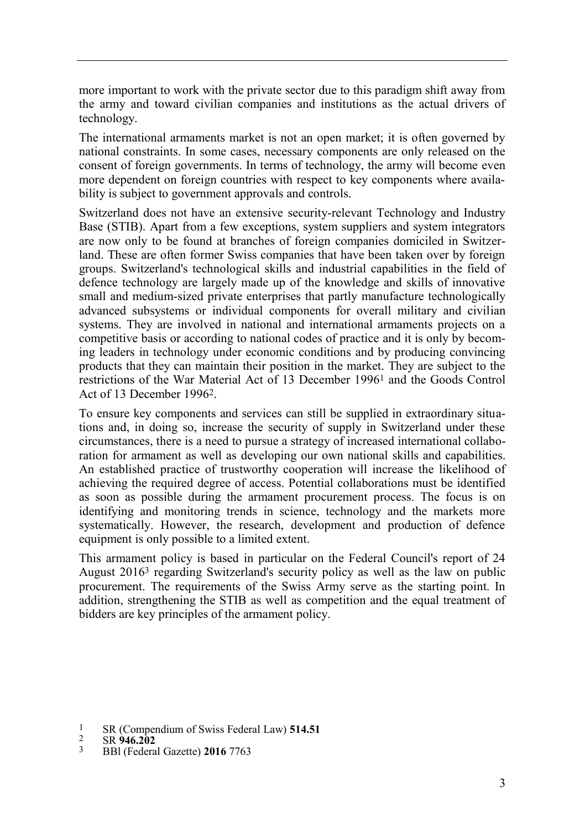more important to work with the private sector due to this paradigm shift away from the army and toward civilian companies and institutions as the actual drivers of technology.

The international armaments market is not an open market; it is often governed by national constraints. In some cases, necessary components are only released on the consent of foreign governments. In terms of technology, the army will become even more dependent on foreign countries with respect to key components where availability is subject to government approvals and controls.

Switzerland does not have an extensive security-relevant Technology and Industry Base (STIB). Apart from a few exceptions, system suppliers and system integrators are now only to be found at branches of foreign companies domiciled in Switzerland. These are often former Swiss companies that have been taken over by foreign groups. Switzerland's technological skills and industrial capabilities in the field of defence technology are largely made up of the knowledge and skills of innovative small and medium-sized private enterprises that partly manufacture technologically advanced subsystems or individual components for overall military and civilian systems. They are involved in national and international armaments projects on a competitive basis or according to national codes of practice and it is only by becoming leaders in technology under economic conditions and by producing convincing products that they can maintain their position in the market. They are subject to the restrictions of the War Material Act of 13 December 19961 and the Goods Control Act of 13 December 19962.

To ensure key components and services can still be supplied in extraordinary situations and, in doing so, increase the security of supply in Switzerland under these circumstances, there is a need to pursue a strategy of increased international collaboration for armament as well as developing our own national skills and capabilities. An established practice of trustworthy cooperation will increase the likelihood of achieving the required degree of access. Potential collaborations must be identified as soon as possible during the armament procurement process. The focus is on identifying and monitoring trends in science, technology and the markets more systematically. However, the research, development and production of defence equipment is only possible to a limited extent.

This armament policy is based in particular on the Federal Council's report of 24 August 20163 regarding Switzerland's security policy as well as the law on public procurement. The requirements of the Swiss Army serve as the starting point. In addition, strengthening the STIB as well as competition and the equal treatment of bidders are key principles of the armament policy.

2 SR **946.202**

 $\frac{1}{2}$  SR (Compendium of Swiss Federal Law) **514.51** 

<sup>3</sup> BBl (Federal Gazette) **2016** 7763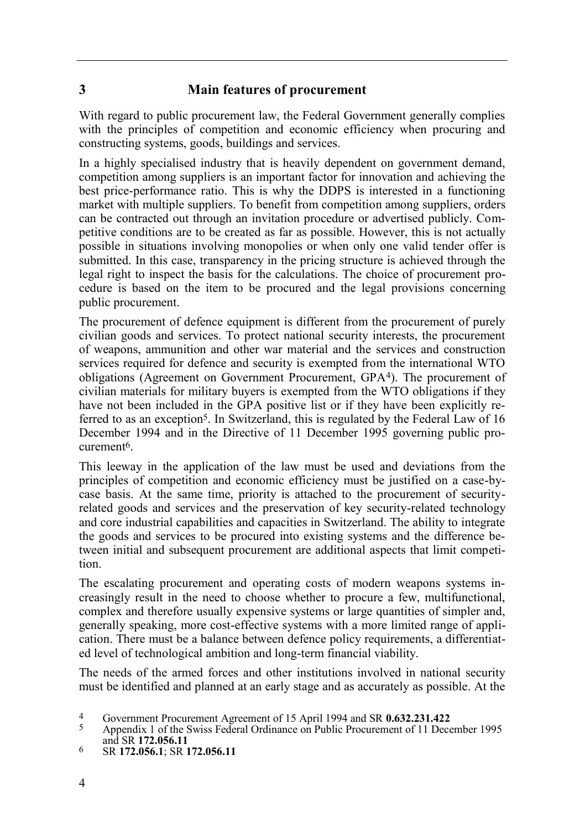## **3 Main features of procurement**

With regard to public procurement law, the Federal Government generally complies with the principles of competition and economic efficiency when procuring and constructing systems, goods, buildings and services.

In a highly specialised industry that is heavily dependent on government demand, competition among suppliers is an important factor for innovation and achieving the best price-performance ratio. This is why the DDPS is interested in a functioning market with multiple suppliers. To benefit from competition among suppliers, orders can be contracted out through an invitation procedure or advertised publicly. Competitive conditions are to be created as far as possible. However, this is not actually possible in situations involving monopolies or when only one valid tender offer is submitted. In this case, transparency in the pricing structure is achieved through the legal right to inspect the basis for the calculations. The choice of procurement procedure is based on the item to be procured and the legal provisions concerning public procurement.

The procurement of defence equipment is different from the procurement of purely civilian goods and services. To protect national security interests, the procurement of weapons, ammunition and other war material and the services and construction services required for defence and security is exempted from the international WTO obligations (Agreement on Government Procurement, GPA4). The procurement of civilian materials for military buyers is exempted from the WTO obligations if they have not been included in the GPA positive list or if they have been explicitly referred to as an exception<sup>5</sup>. In Switzerland, this is regulated by the Federal Law of 16 December 1994 and in the Directive of 11 December 1995 governing public procurement6.

This leeway in the application of the law must be used and deviations from the principles of competition and economic efficiency must be justified on a case-bycase basis. At the same time, priority is attached to the procurement of securityrelated goods and services and the preservation of key security-related technology and core industrial capabilities and capacities in Switzerland. The ability to integrate the goods and services to be procured into existing systems and the difference between initial and subsequent procurement are additional aspects that limit competition.

The escalating procurement and operating costs of modern weapons systems increasingly result in the need to choose whether to procure a few, multifunctional, complex and therefore usually expensive systems or large quantities of simpler and, generally speaking, more cost-effective systems with a more limited range of application. There must be a balance between defence policy requirements, a differentiated level of technological ambition and long-term financial viability.

The needs of the armed forces and other institutions involved in national security must be identified and planned at an early stage and as accurately as possible. At the

6 SR **172.056.1**; SR **172.056.11**

<sup>&</sup>lt;sup>4</sup> Government Procurement Agreement of 15 April 1994 and SR **0.632.231.422**<br>5 Appendix 1 of the Swiss Federal Ordinance on Public Procurement of 11 Decem

<sup>5</sup> Appendix 1 of the Swiss Federal Ordinance on Public Procurement of 11 December 1995 and SR **172.056.11**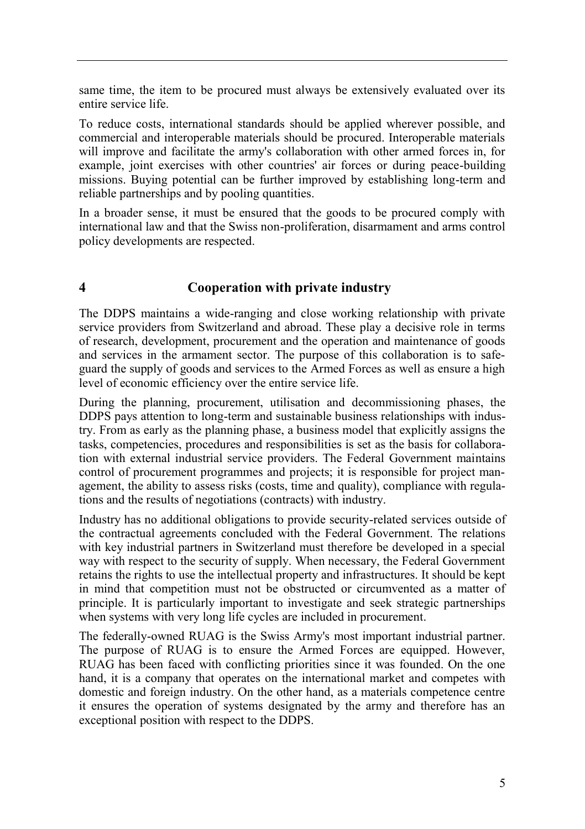same time, the item to be procured must always be extensively evaluated over its entire service life.

To reduce costs, international standards should be applied wherever possible, and commercial and interoperable materials should be procured. Interoperable materials will improve and facilitate the army's collaboration with other armed forces in, for example, joint exercises with other countries' air forces or during peace-building missions. Buying potential can be further improved by establishing long-term and reliable partnerships and by pooling quantities.

In a broader sense, it must be ensured that the goods to be procured comply with international law and that the Swiss non-proliferation, disarmament and arms control policy developments are respected.

#### **4 Cooperation with private industry**

The DDPS maintains a wide-ranging and close working relationship with private service providers from Switzerland and abroad. These play a decisive role in terms of research, development, procurement and the operation and maintenance of goods and services in the armament sector. The purpose of this collaboration is to safeguard the supply of goods and services to the Armed Forces as well as ensure a high level of economic efficiency over the entire service life.

During the planning, procurement, utilisation and decommissioning phases, the DDPS pays attention to long-term and sustainable business relationships with industry. From as early as the planning phase, a business model that explicitly assigns the tasks, competencies, procedures and responsibilities is set as the basis for collaboration with external industrial service providers. The Federal Government maintains control of procurement programmes and projects; it is responsible for project management, the ability to assess risks (costs, time and quality), compliance with regulations and the results of negotiations (contracts) with industry.

Industry has no additional obligations to provide security-related services outside of the contractual agreements concluded with the Federal Government. The relations with key industrial partners in Switzerland must therefore be developed in a special way with respect to the security of supply. When necessary, the Federal Government retains the rights to use the intellectual property and infrastructures. It should be kept in mind that competition must not be obstructed or circumvented as a matter of principle. It is particularly important to investigate and seek strategic partnerships when systems with very long life cycles are included in procurement.

The federally-owned RUAG is the Swiss Army's most important industrial partner. The purpose of RUAG is to ensure the Armed Forces are equipped. However, RUAG has been faced with conflicting priorities since it was founded. On the one hand, it is a company that operates on the international market and competes with domestic and foreign industry. On the other hand, as a materials competence centre it ensures the operation of systems designated by the army and therefore has an exceptional position with respect to the DDPS.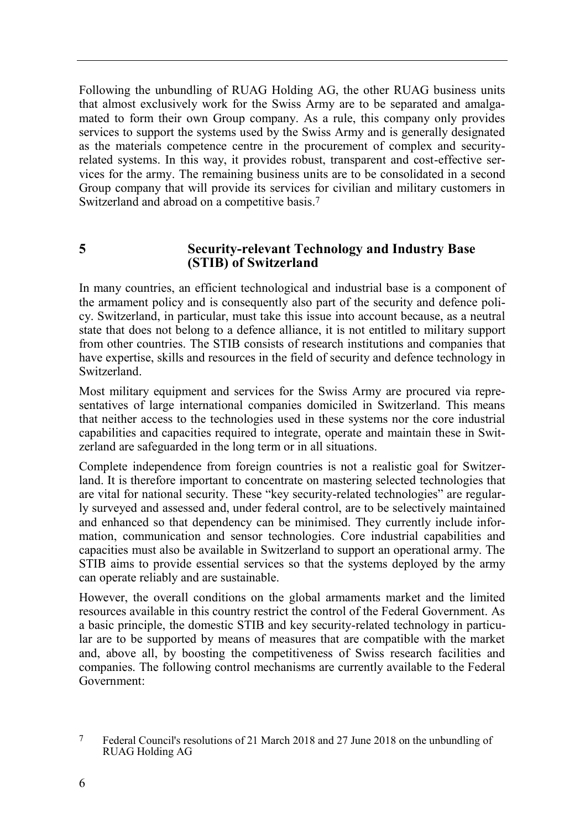Following the unbundling of RUAG Holding AG, the other RUAG business units that almost exclusively work for the Swiss Army are to be separated and amalgamated to form their own Group company. As a rule, this company only provides services to support the systems used by the Swiss Army and is generally designated as the materials competence centre in the procurement of complex and securityrelated systems. In this way, it provides robust, transparent and cost-effective services for the army. The remaining business units are to be consolidated in a second Group company that will provide its services for civilian and military customers in Switzerland and abroad on a competitive basis.7

#### **5 Security-relevant Technology and Industry Base (STIB) of Switzerland**

In many countries, an efficient technological and industrial base is a component of the armament policy and is consequently also part of the security and defence policy. Switzerland, in particular, must take this issue into account because, as a neutral state that does not belong to a defence alliance, it is not entitled to military support from other countries. The STIB consists of research institutions and companies that have expertise, skills and resources in the field of security and defence technology in Switzerland.

Most military equipment and services for the Swiss Army are procured via representatives of large international companies domiciled in Switzerland. This means that neither access to the technologies used in these systems nor the core industrial capabilities and capacities required to integrate, operate and maintain these in Switzerland are safeguarded in the long term or in all situations.

Complete independence from foreign countries is not a realistic goal for Switzerland. It is therefore important to concentrate on mastering selected technologies that are vital for national security. These "key security-related technologies" are regularly surveyed and assessed and, under federal control, are to be selectively maintained and enhanced so that dependency can be minimised. They currently include information, communication and sensor technologies. Core industrial capabilities and capacities must also be available in Switzerland to support an operational army. The STIB aims to provide essential services so that the systems deployed by the army can operate reliably and are sustainable.

However, the overall conditions on the global armaments market and the limited resources available in this country restrict the control of the Federal Government. As a basic principle, the domestic STIB and key security-related technology in particular are to be supported by means of measures that are compatible with the market and, above all, by boosting the competitiveness of Swiss research facilities and companies. The following control mechanisms are currently available to the Federal Government:

<sup>7</sup> Federal Council's resolutions of 21 March 2018 and 27 June 2018 on the unbundling of RUAG Holding AG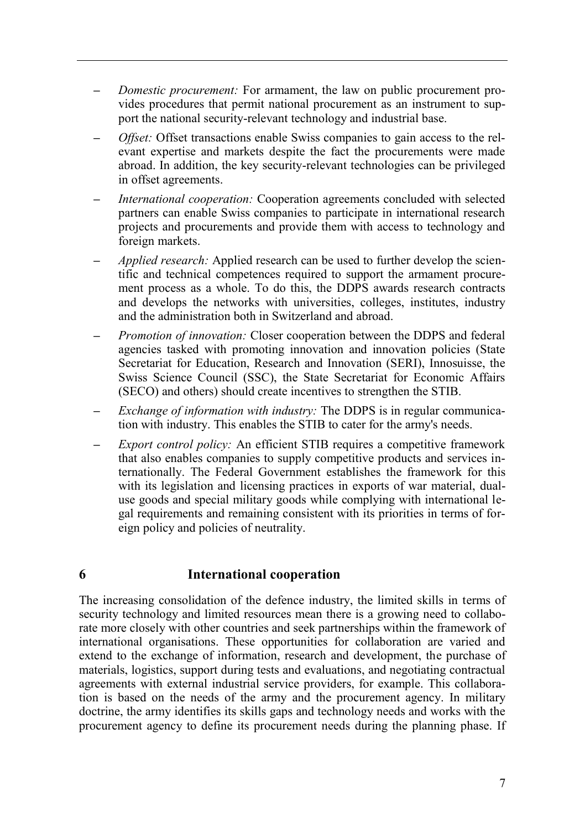- **–** *Domestic procurement:* For armament, the law on public procurement provides procedures that permit national procurement as an instrument to support the national security-relevant technology and industrial base.
- **–** *Offset:* Offset transactions enable Swiss companies to gain access to the relevant expertise and markets despite the fact the procurements were made abroad. In addition, the key security-relevant technologies can be privileged in offset agreements.
- **–** *International cooperation:* Cooperation agreements concluded with selected partners can enable Swiss companies to participate in international research projects and procurements and provide them with access to technology and foreign markets.
- **–** *Applied research:* Applied research can be used to further develop the scientific and technical competences required to support the armament procurement process as a whole. To do this, the DDPS awards research contracts and develops the networks with universities, colleges, institutes, industry and the administration both in Switzerland and abroad.
- **–** *Promotion of innovation:* Closer cooperation between the DDPS and federal agencies tasked with promoting innovation and innovation policies (State Secretariat for Education, Research and Innovation (SERI), Innosuisse, the Swiss Science Council (SSC), the State Secretariat for Economic Affairs (SECO) and others) should create incentives to strengthen the STIB.
- **–** *Exchange of information with industry:* The DDPS is in regular communication with industry. This enables the STIB to cater for the army's needs.
- **–** *Export control policy:* An efficient STIB requires a competitive framework that also enables companies to supply competitive products and services internationally. The Federal Government establishes the framework for this with its legislation and licensing practices in exports of war material, dualuse goods and special military goods while complying with international legal requirements and remaining consistent with its priorities in terms of foreign policy and policies of neutrality.

#### **6 International cooperation**

The increasing consolidation of the defence industry, the limited skills in terms of security technology and limited resources mean there is a growing need to collaborate more closely with other countries and seek partnerships within the framework of international organisations. These opportunities for collaboration are varied and extend to the exchange of information, research and development, the purchase of materials, logistics, support during tests and evaluations, and negotiating contractual agreements with external industrial service providers, for example. This collaboration is based on the needs of the army and the procurement agency. In military doctrine, the army identifies its skills gaps and technology needs and works with the procurement agency to define its procurement needs during the planning phase. If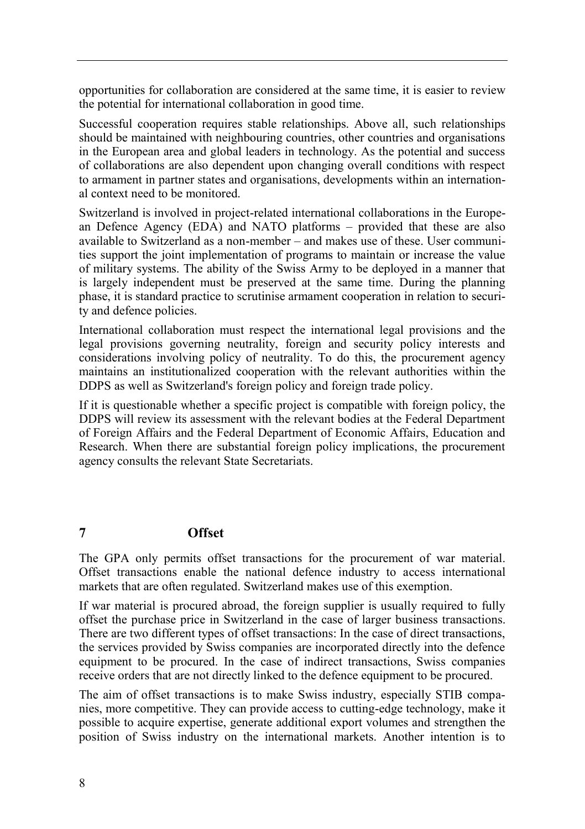opportunities for collaboration are considered at the same time, it is easier to review the potential for international collaboration in good time.

Successful cooperation requires stable relationships. Above all, such relationships should be maintained with neighbouring countries, other countries and organisations in the European area and global leaders in technology. As the potential and success of collaborations are also dependent upon changing overall conditions with respect to armament in partner states and organisations, developments within an international context need to be monitored.

Switzerland is involved in project-related international collaborations in the European Defence Agency (EDA) and NATO platforms – provided that these are also available to Switzerland as a non-member – and makes use of these. User communities support the joint implementation of programs to maintain or increase the value of military systems. The ability of the Swiss Army to be deployed in a manner that is largely independent must be preserved at the same time. During the planning phase, it is standard practice to scrutinise armament cooperation in relation to security and defence policies.

International collaboration must respect the international legal provisions and the legal provisions governing neutrality, foreign and security policy interests and considerations involving policy of neutrality. To do this, the procurement agency maintains an institutionalized cooperation with the relevant authorities within the DDPS as well as Switzerland's foreign policy and foreign trade policy.

If it is questionable whether a specific project is compatible with foreign policy, the DDPS will review its assessment with the relevant bodies at the Federal Department of Foreign Affairs and the Federal Department of Economic Affairs, Education and Research. When there are substantial foreign policy implications, the procurement agency consults the relevant State Secretariats.

# **7 Offset**

The GPA only permits offset transactions for the procurement of war material. Offset transactions enable the national defence industry to access international markets that are often regulated. Switzerland makes use of this exemption.

If war material is procured abroad, the foreign supplier is usually required to fully offset the purchase price in Switzerland in the case of larger business transactions. There are two different types of offset transactions: In the case of direct transactions, the services provided by Swiss companies are incorporated directly into the defence equipment to be procured. In the case of indirect transactions, Swiss companies receive orders that are not directly linked to the defence equipment to be procured.

The aim of offset transactions is to make Swiss industry, especially STIB companies, more competitive. They can provide access to cutting-edge technology, make it possible to acquire expertise, generate additional export volumes and strengthen the position of Swiss industry on the international markets. Another intention is to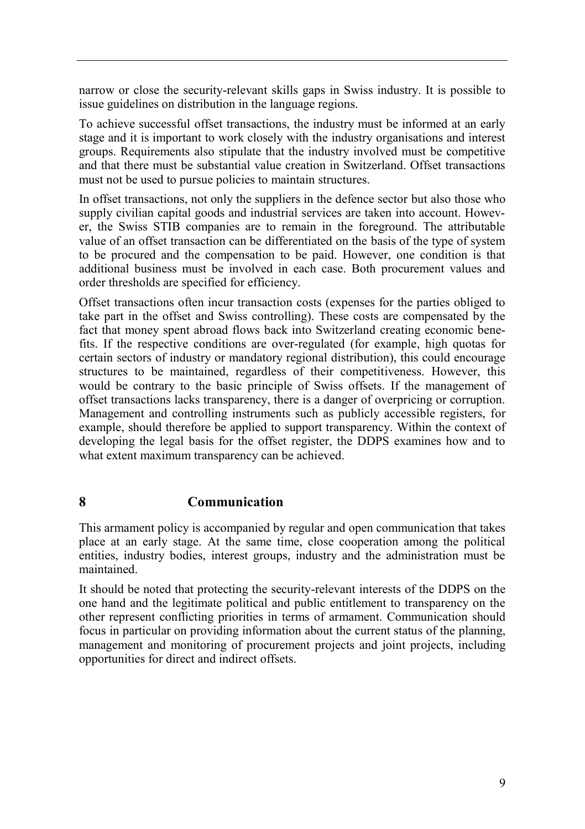narrow or close the security-relevant skills gaps in Swiss industry. It is possible to issue guidelines on distribution in the language regions.

To achieve successful offset transactions, the industry must be informed at an early stage and it is important to work closely with the industry organisations and interest groups. Requirements also stipulate that the industry involved must be competitive and that there must be substantial value creation in Switzerland. Offset transactions must not be used to pursue policies to maintain structures.

In offset transactions, not only the suppliers in the defence sector but also those who supply civilian capital goods and industrial services are taken into account. However, the Swiss STIB companies are to remain in the foreground. The attributable value of an offset transaction can be differentiated on the basis of the type of system to be procured and the compensation to be paid. However, one condition is that additional business must be involved in each case. Both procurement values and order thresholds are specified for efficiency.

Offset transactions often incur transaction costs (expenses for the parties obliged to take part in the offset and Swiss controlling). These costs are compensated by the fact that money spent abroad flows back into Switzerland creating economic benefits. If the respective conditions are over-regulated (for example, high quotas for certain sectors of industry or mandatory regional distribution), this could encourage structures to be maintained, regardless of their competitiveness. However, this would be contrary to the basic principle of Swiss offsets. If the management of offset transactions lacks transparency, there is a danger of overpricing or corruption. Management and controlling instruments such as publicly accessible registers, for example, should therefore be applied to support transparency. Within the context of developing the legal basis for the offset register, the DDPS examines how and to what extent maximum transparency can be achieved.

#### **8 Communication**

This armament policy is accompanied by regular and open communication that takes place at an early stage. At the same time, close cooperation among the political entities, industry bodies, interest groups, industry and the administration must be maintained.

It should be noted that protecting the security-relevant interests of the DDPS on the one hand and the legitimate political and public entitlement to transparency on the other represent conflicting priorities in terms of armament. Communication should focus in particular on providing information about the current status of the planning, management and monitoring of procurement projects and joint projects, including opportunities for direct and indirect offsets.